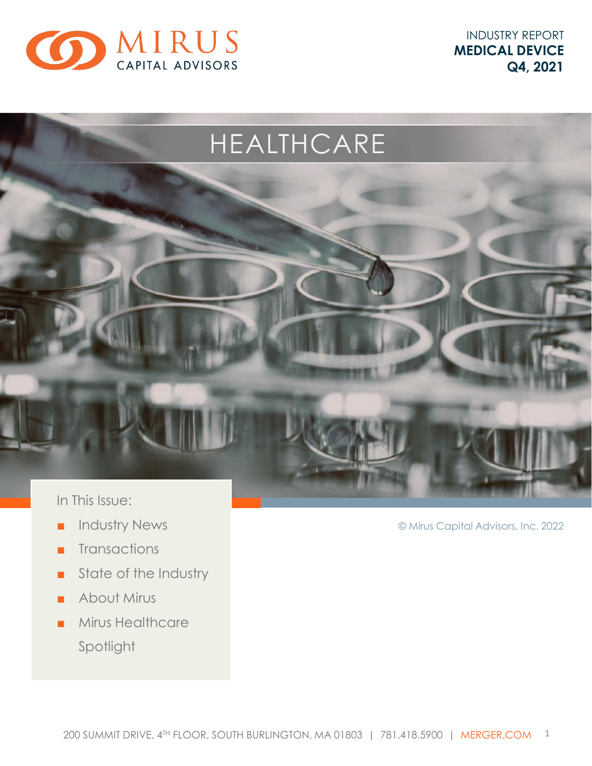

INDUSTRY REPORT **MEDICAL DEVICE Q4, 2021**



- 
- Industry News
- Transactions
- State of the Industry
- About Mirus
- Mirus Healthcare Spotlight

© Mirus Capital Advisors, Inc. 2022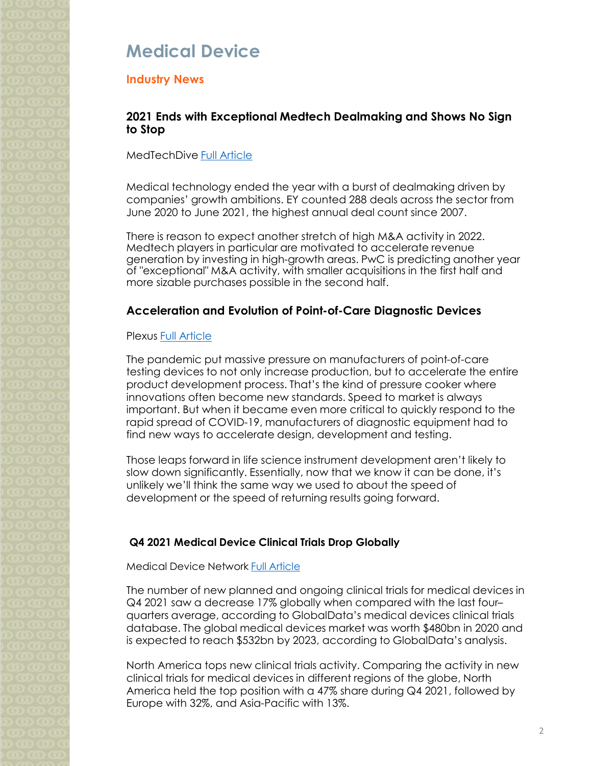# **Medical Device**

### **Industry News**

### **2021 Ends with Exceptional Medtech Dealmaking and Shows No Sign to Stop**

### MedTechDive [Full Article](https://www.medtechdive.com/news/medtechs-biggest-deals-2021-what-expect-2022/616591/)

Medical technology ended the year with a burst of dealmaking driven by companies' growth ambitions. EY counted 288 deals across the sector from June 2020 to June 2021, the highest annual deal count since 2007.

There is reason to expect another stretch of high M&A activity in 2022. Medtech players in particular are motivated to accelerate revenue generation by investing in high-growth areas. PwC is predicting another year of "exceptional" M&A activity, with smaller acquisitions in the first half and more sizable purchases possible in the second half.

### **Acceleration and Evolution of Point-of-Care Diagnostic Devices**

### Plexus [Full Article](https://www.plexus.com/en-us/current/articles/medical-device-industry-trends)

The pandemic put massive pressure on manufacturers of point-of-care testing devices to not only increase production, but to accelerate the entire product development process. That's the kind of pressure cooker where innovations often become new standards. Speed to market is always important. But when it became even more critical to quickly respond to the rapid spread of COVID-19, manufacturers of diagnostic equipment had to find new ways to accelerate design, development and testing.

Those leaps forward in life science instrument development aren't likely to slow down significantly. Essentially, now that we know it can be done, it's unlikely we'll think the same way we used to about the speed of development or the speed of returning results going forward.

### **Q4 2021 Medical Device Clinical Trials Drop Globally**

#### Medical Device Network [Full Article](https://www.medicaldevice-network.com/marketdata/new-medical-device-clinical-trials-q4-2021/)

The number of new planned and ongoing clinical trials for medical devices in Q4 2021 saw a decrease 17% globally when compared with the last four– quarters average, according to GlobalData's medical devices clinical trials database. The global medical devices market was worth \$480bn in 2020 and is expected to reach \$532bn by 2023, according to GlobalData's analysis.

North America tops new clinical trials activity. Comparing the activity in new clinical trials for medical devices in different regions of the globe, North America held the top position with a 47% share during Q4 2021, followed by Europe with 32%, and Asia-Pacific with 13%.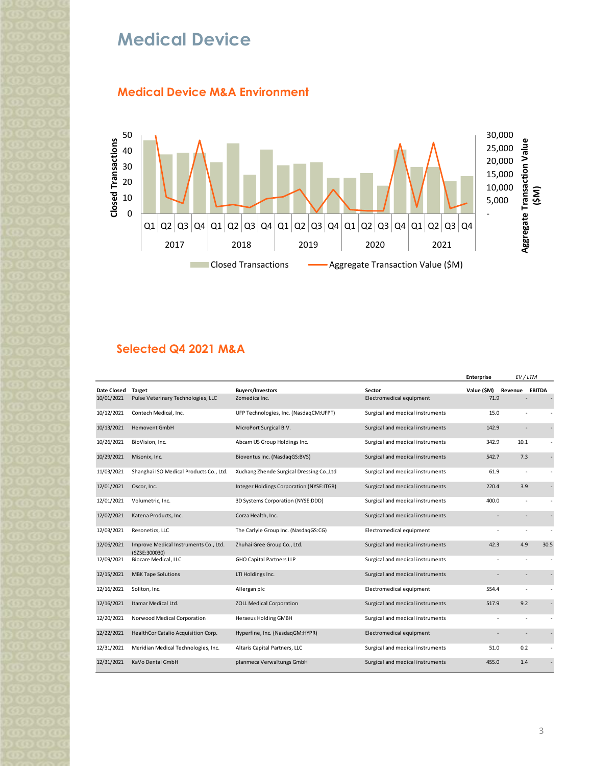# **Medical Device**





### **Selected Q4 2021 M&A**

|                    |                                                        |                                           |                                  | <b>Enterprise</b> | EV/LTM                   |               |
|--------------------|--------------------------------------------------------|-------------------------------------------|----------------------------------|-------------------|--------------------------|---------------|
| <b>Date Closed</b> | Target                                                 | <b>Buyers/Investors</b>                   | Sector                           | Value (\$M)       | Revenue                  | <b>EBITDA</b> |
| 10/01/2021         | Pulse Veterinary Technologies, LLC                     | Zomedica Inc.                             | Electromedical equipment         | 71.9              |                          |               |
| 10/12/2021         | Contech Medical, Inc.                                  | UFP Technologies, Inc. (NasdaqCM:UFPT)    | Surgical and medical instruments | 15.0              |                          |               |
| 10/13/2021         | <b>Hemovent GmbH</b>                                   | MicroPort Surgical B.V.                   | Surgical and medical instruments | 142.9             |                          |               |
| 10/26/2021         | BioVision, Inc.                                        | Abcam US Group Holdings Inc.              | Surgical and medical instruments | 342.9             | 10.1                     |               |
| 10/29/2021         | Misonix, Inc.                                          | Bioventus Inc. (NasdaqGS:BVS)             | Surgical and medical instruments | 542.7             | 7.3                      |               |
| 11/03/2021         | Shanghai ISO Medical Products Co., Ltd.                | Xuchang Zhende Surgical Dressing Co., Ltd | Surgical and medical instruments | 61.9              | ٠                        |               |
| 12/01/2021         | Oscor, Inc.                                            | Integer Holdings Corporation (NYSE:ITGR)  | Surgical and medical instruments | 220.4             | 3.9                      |               |
| 12/01/2021         | Volumetric, Inc.                                       | 3D Systems Corporation (NYSE:DDD)         | Surgical and medical instruments | 400.0             |                          |               |
| 12/02/2021         | Katena Products, Inc.                                  | Corza Health, Inc.                        | Surgical and medical instruments |                   | $\overline{\phantom{a}}$ |               |
| 12/03/2021         | Resonetics, LLC                                        | The Carlyle Group Inc. (NasdaqGS:CG)      | Electromedical equipment         |                   | ٠                        |               |
| 12/06/2021         | Improve Medical Instruments Co., Ltd.<br>(SZSE:300030) | Zhuhai Gree Group Co., Ltd.               | Surgical and medical instruments | 42.3              | 4.9                      | 30.5          |
| 12/09/2021         | Biocare Medical, LLC                                   | <b>GHO Capital Partners LLP</b>           | Surgical and medical instruments |                   |                          |               |
| 12/15/2021         | <b>MBK Tape Solutions</b>                              | LTI Holdings Inc.                         | Surgical and medical instruments |                   |                          |               |
| 12/16/2021         | Soliton, Inc.                                          | Allergan plc                              | Electromedical equipment         | 554.4             |                          |               |
| 12/16/2021         | Itamar Medical Ltd.                                    | <b>ZOLL Medical Corporation</b>           | Surgical and medical instruments | 517.9             | 9.2                      |               |
| 12/20/2021         | Norwood Medical Corporation                            | <b>Heraeus Holding GMBH</b>               | Surgical and medical instruments |                   |                          |               |
| 12/22/2021         | HealthCor Catalio Acquisition Corp.                    | Hyperfine, Inc. (NasdaqGM:HYPR)           | Electromedical equipment         |                   |                          |               |
| 12/31/2021         | Meridian Medical Technologies, Inc.                    | Altaris Capital Partners, LLC             | Surgical and medical instruments | 51.0              | 0.2                      |               |
| 12/31/2021         | KaVo Dental GmbH                                       | planmeca Verwaltungs GmbH                 | Surgical and medical instruments | 455.0             | 1.4                      |               |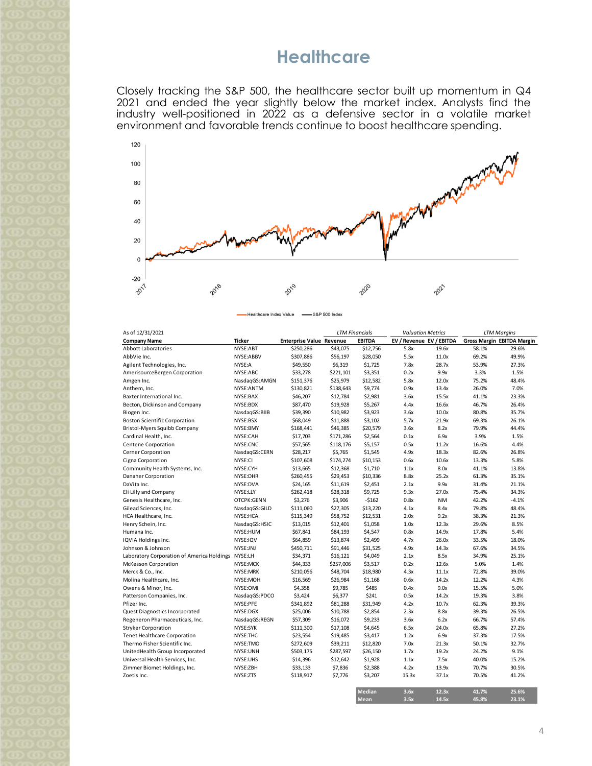## **Healthcare**

Closely tracking the S&P 500, the healthcare sector built up momentum in Q4 2021 and ended the year slightly below the market index. Analysts find the industry well-positioned in 2022 as a defensive sector in a volatile market environment and favorable trends continue to boost healthcare spending.



| As of 12/31/2021                                   |               |                                 | <b>LTM Financials</b> |          | <b>Valuation Metrics</b> |           | <b>LTM Margins</b>         |         |
|----------------------------------------------------|---------------|---------------------------------|-----------------------|----------|--------------------------|-----------|----------------------------|---------|
| <b>Company Name</b>                                | <b>Ticker</b> | <b>Enterprise Value Revenue</b> | <b>EBITDA</b>         |          | EV / Revenue EV / EBITDA |           | Gross Margin EBITDA Margin |         |
| <b>Abbott Laboratories</b>                         | NYSE:ABT      | \$250,286                       | \$43,075              | \$12,756 | 5.8x                     | 19.6x     | 58.1%                      | 29.6%   |
| AbbVie Inc.                                        | NYSE:ABBV     | \$307,886                       | \$56,197              | \$28,050 | 5.5x                     | 11.0x     | 69.2%                      | 49.9%   |
| Agilent Technologies, Inc.                         | NYSE:A        | \$49,550                        | \$6,319               | \$1,725  | 7.8x                     | 28.7x     | 53.9%                      | 27.3%   |
| AmerisourceBergen Corporation                      | NYSE:ABC      | \$33,278                        | \$221,101             | \$3,351  | 0.2x                     | 9.9x      | 3.3%                       | 1.5%    |
| Amgen Inc.                                         | NasdaqGS:AMGN | \$151,376                       | \$25,979              | \$12,582 | 5.8x                     | 12.0x     | 75.2%                      | 48.4%   |
| Anthem, Inc.                                       | NYSE: ANTM    | \$130,821                       | \$138,643             | \$9,774  | 0.9x                     | 13.4x     | 26.0%                      | 7.0%    |
| Baxter International Inc.                          | NYSE:BAX      | \$46,207                        | \$12,784              | \$2,981  | 3.6x                     | 15.5x     | 41.1%                      | 23.3%   |
| Becton, Dickinson and Company                      | NYSE:BDX      | \$87,470                        | \$19,928              | \$5,267  | 4.4x                     | 16.6x     | 46.7%                      | 26.4%   |
| Biogen Inc.                                        | NasdaqGS:BIIB | \$39,390                        | \$10,982              | \$3,923  | 3.6x                     | 10.0x     | 80.8%                      | 35.7%   |
| <b>Boston Scientific Corporation</b>               | NYSE:BSX      | \$68,049                        | \$11,888              | \$3,102  | 5.7x                     | 21.9x     | 69.3%                      | 26.1%   |
| Bristol-Myers Squibb Company                       | NYSE:BMY      | \$168,441                       | \$46,385              | \$20,579 | 3.6x                     | 8.2x      | 79.9%                      | 44.4%   |
| Cardinal Health, Inc.                              | NYSE:CAH      | \$17,703                        | \$171,286             | \$2,564  | 0.1x                     | 6.9x      | 3.9%                       | 1.5%    |
| Centene Corporation                                | NYSE:CNC      | \$57,565                        | \$118,176             | \$5,157  | 0.5x                     | 11.2x     | 16.6%                      | 4.4%    |
| Cerner Corporation                                 | NasdagGS:CERN | \$28,217                        | \$5,765               | \$1,545  | 4.9x                     | 18.3x     | 82.6%                      | 26.8%   |
| Cigna Corporation                                  | NYSE:CI       | \$107,608                       | \$174,274             | \$10,153 | 0.6x                     | 10.6x     | 13.3%                      | 5.8%    |
| Community Health Systems, Inc.                     | NYSE:CYH      | \$13,665                        | \$12,368              | \$1,710  | 1.1x                     | 8.0x      | 41.1%                      | 13.8%   |
| Danaher Corporation                                | NYSE:DHR      | \$260,455                       | \$29,453              | \$10,336 | 8.8x                     | 25.2x     | 61.3%                      | 35.1%   |
| DaVita Inc.                                        | NYSE:DVA      | \$24,165                        | \$11,619              | \$2,451  | 2.1x                     | 9.9x      | 31.4%                      | 21.1%   |
| Eli Lilly and Company                              | NYSE:LLY      | \$262,418                       | \$28,318              | \$9,725  | 9.3x                     | 27.0x     | 75.4%                      | 34.3%   |
| Genesis Healthcare, Inc.                           | OTCPK:GENN    | \$3,276                         | \$3,906               | $-5162$  | 0.8x                     | <b>NM</b> | 42.2%                      | $-4.1%$ |
| Gilead Sciences, Inc.                              | NasdagGS:GILD | \$111,060                       | \$27,305              | \$13,220 | 4.1x                     | 8.4x      | 79.8%                      | 48.4%   |
| HCA Healthcare, Inc.                               | NYSE:HCA      | \$115,349                       | \$58,752              | \$12,531 | 2.0x                     | 9.2x      | 38.3%                      | 21.3%   |
| Henry Schein, Inc.                                 | NasdaqGS:HSIC | \$13,015                        | \$12,401              | \$1,058  | 1.0x                     | 12.3x     | 29.6%                      | 8.5%    |
| Humana Inc.                                        | NYSE:HUM      | \$67,841                        | \$84,193              | \$4,547  | 0.8x                     | 14.9x     | 17.8%                      | 5.4%    |
| IQVIA Holdings Inc.                                | NYSE:IQV      | \$64,859                        | \$13,874              | \$2,499  | 4.7x                     | 26.0x     | 33.5%                      | 18.0%   |
| Johnson & Johnson                                  | NYSE:JNJ      | \$450,711                       | \$91,446              | \$31,525 | 4.9x                     | 14.3x     | 67.6%                      | 34.5%   |
| Laboratory Corporation of America Holdings NYSE:LH |               | \$34,371                        | \$16,121              | \$4,049  | 2.1x                     | 8.5x      | 34.9%                      | 25.1%   |
| McKesson Corporation                               | NYSE:MCK      | \$44,333                        | \$257,006             | \$3,517  | 0.2x                     | 12.6x     | 5.0%                       | 1.4%    |
| Merck & Co., Inc.                                  | NYSE:MRK      | \$210,056                       | \$48,704              | \$18,980 | 4.3x                     | 11.1x     | 72.8%                      | 39.0%   |
| Molina Healthcare, Inc.                            | NYSE:MOH      | \$16,569                        | \$26,984              | \$1,168  | 0.6x                     | 14.2x     | 12.2%                      | 4.3%    |
| Owens & Minor, Inc.                                | NYSE:OMI      | \$4,358                         | \$9,785               | \$485    | 0.4x                     | 9.0x      | 15.5%                      | 5.0%    |
| Patterson Companies, Inc.                          | NasdaqGS:PDCO | \$3,424                         | \$6,377               | \$241    | 0.5x                     | 14.2x     | 19.3%                      | 3.8%    |
| Pfizer Inc.                                        | NYSE:PFE      | \$341,892                       | \$81,288              | \$31,949 | 4.2x                     | 10.7x     | 62.3%                      | 39.3%   |
| Quest Diagnostics Incorporated                     | NYSE:DGX      | \$25,006                        | \$10,788              | \$2,854  | 2.3x                     | 8.8x      | 39.3%                      | 26.5%   |
| Regeneron Pharmaceuticals, Inc.                    | NasdaqGS:REGN | \$57,309                        | \$16,072              | \$9,233  | 3.6x                     | 6.2x      | 66.7%                      | 57.4%   |
| <b>Stryker Corporation</b>                         | NYSE:SYK      | \$111,300                       | \$17,108              | \$4,645  | 6.5x                     | 24.0x     | 65.8%                      | 27.2%   |
| <b>Tenet Healthcare Corporation</b>                | NYSE:THC      | \$23,554                        | \$19,485              | \$3,417  | 1.2x                     | 6.9x      | 37.3%                      | 17.5%   |
| Thermo Fisher Scientific Inc.                      | NYSE:TMO      | \$272,609                       | \$39,211              | \$12,820 | 7.0x                     | 21.3x     | 50.1%                      | 32.7%   |
| UnitedHealth Group Incorporated                    | NYSE:UNH      | \$503,175                       | \$287,597             | \$26,150 | 1.7x                     | 19.2x     | 24.2%                      | 9.1%    |
| Universal Health Services, Inc.                    | NYSE:UHS      | \$14,396                        | \$12,642              | \$1,928  | 1.1x                     | 7.5x      | 40.0%                      | 15.2%   |
| Zimmer Biomet Holdings, Inc.                       | NYSE:ZBH      | \$33,133                        | \$7,836               | \$2,388  | 4.2x                     | 13.9x     | 70.7%                      | 30.5%   |
| Zoetis Inc.                                        | NYSE:ZTS      | \$118,917                       | \$7,776               | \$3,207  | 15.3x                    | 37.1x     | 70.5%                      | 41.2%   |
|                                                    |               |                                 |                       |          |                          |           |                            |         |
|                                                    |               |                                 |                       | Median   | 3.6x                     | 12.3x     | 41.7%                      | 25.6%   |

4

**Mean 3.5x 14.5x 45.8% 23.1%**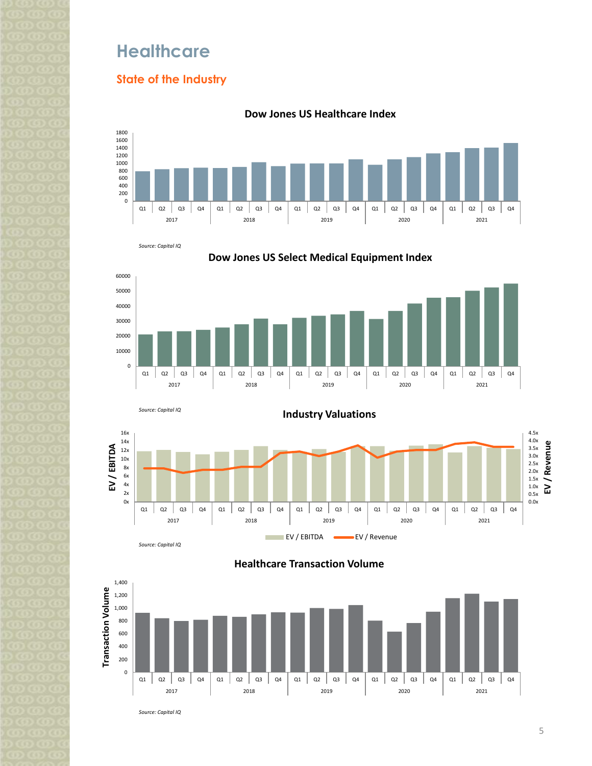# **Healthcare**

## **State of the Industry**



#### **Dow Jones US Healthcare Index**









**Healthcare Transaction Volume**



*Source: Capital IQ*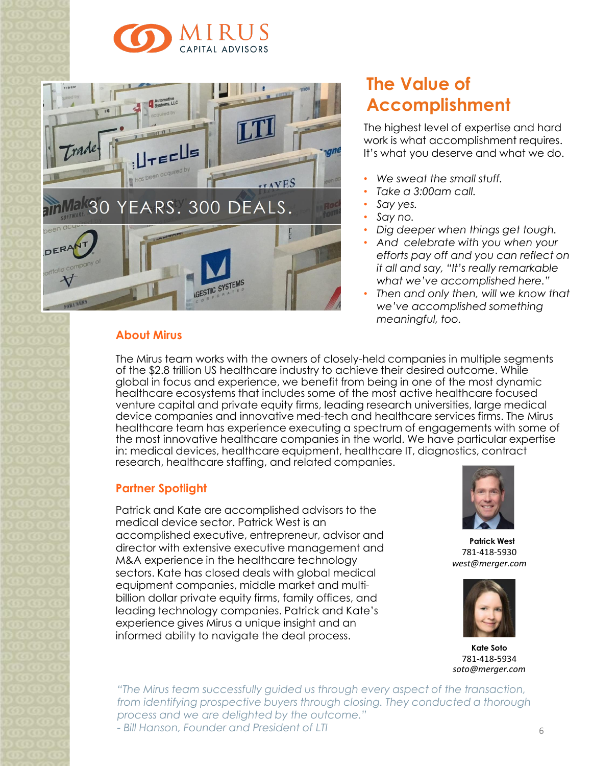



### **About Mirus**

# **The Value of Accomplishment**

The highest level of expertise and hard work is what accomplishment requires. It's what you deserve and what we do.

- *We sweat the small stuff.*
- *Take a 3:00am call.*
- *Say yes.*
- *Say no.*
- *Dig deeper when things get tough.*
- *And celebrate with you when your efforts pay off and you can reflect on it all and say, "It's really remarkable what we've accomplished here."*
- *Then and only then, will we know that we've accomplished something meaningful, too.*

The Mirus team works with the owners of closely-held companies in multiple segments of the \$2.8 trillion US healthcare industry to achieve their desired outcome. While global in focus and experience, we benefit from being in one of the most dynamic healthcare ecosystems that includes some of the most active healthcare focused venture capital and private equity firms, leading research universities, large medical device companies and innovative med-tech and healthcare services firms. The Mirus healthcare team has experience executing a spectrum of engagements with some of the most innovative healthcare companies in the world. We have particular expertise in: medical devices, healthcare equipment, healthcare IT, diagnostics, contract research, healthcare staffing, and related companies.

### **Partner Spotlight**

Patrick and Kate are accomplished advisors to the medical device sector. Patrick West is an accomplished executive, entrepreneur, advisor and director with extensive executive management and M&A experience in the healthcare technology sectors. Kate has closed deals with global medical equipment companies, middle market and multibillion dollar private equity firms, family offices, and leading technology companies. Patrick and Kate's experience gives Mirus a unique insight and an informed ability to navigate the deal process.



**Patrick West** 781-418-5930 *west@merger.com*



**Kate Soto** 781-418-5934 *soto@merger.com*

*"The Mirus team successfully guided us through every aspect of the transaction, from identifying prospective buyers through closing. They conducted a thorough process and we are delighted by the outcome." - Bill Hanson, Founder and President of LTI*